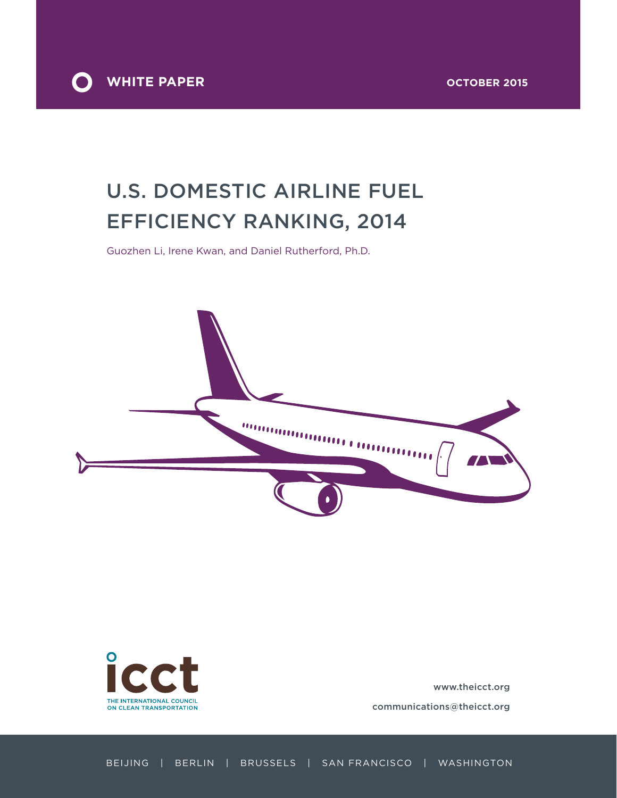

# U.S. domestic airline fuel efficiency ranking, 2014

Guozhen Li, Irene Kwan, and Daniel Rutherford, Ph.D.





www.theicct.org communications@theicct.org

Beijing | Berlin | Brussels | San Francisco | Washington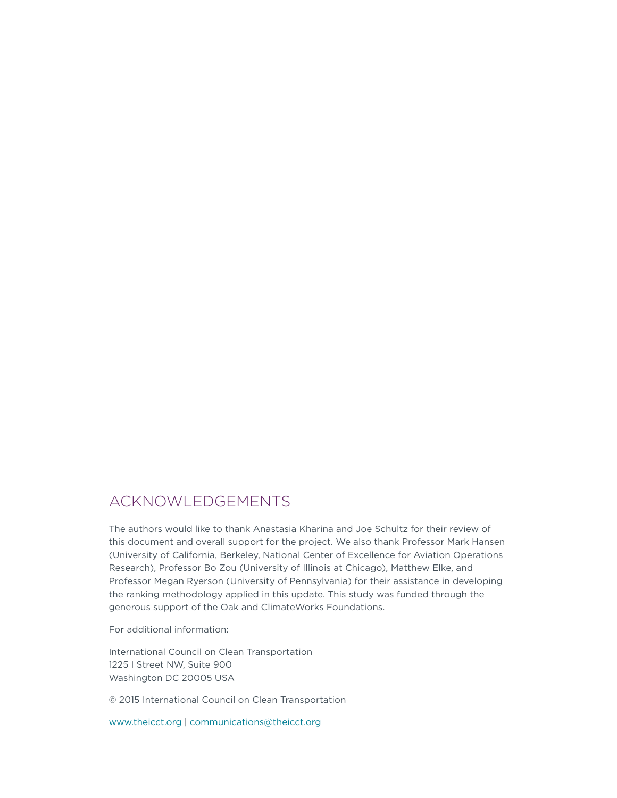### Acknowledgements

The authors would like to thank Anastasia Kharina and Joe Schultz for their review of this document and overall support for the project. We also thank Professor Mark Hansen (University of California, Berkeley, National Center of Excellence for Aviation Operations Research), Professor Bo Zou (University of Illinois at Chicago), Matthew Elke, and Professor Megan Ryerson (University of Pennsylvania) for their assistance in developing the ranking methodology applied in this update. This study was funded through the generous support of the Oak and ClimateWorks Foundations.

For additional information:

International Council on Clean Transportation 1225 I Street NW, Suite 900 Washington DC 20005 USA

© 2015 International Council on Clean Transportation

www.theicct.org | communications@theicct.org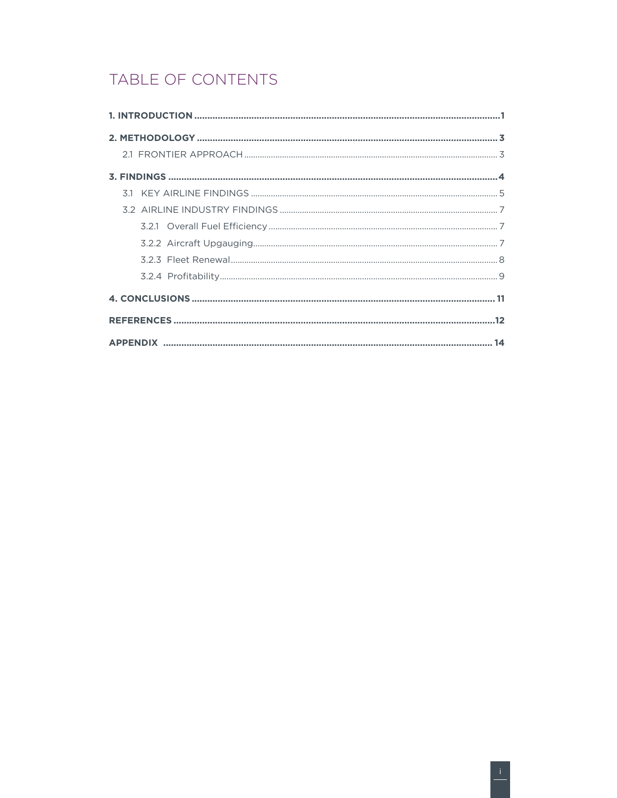## TABLE OF CONTENTS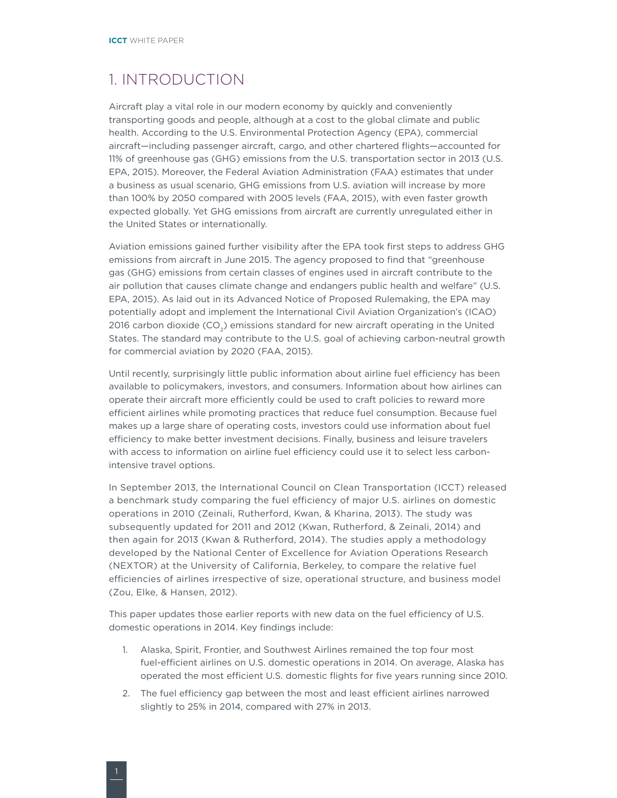### <span id="page-3-0"></span>1. INTRODUCTION

Aircraft play a vital role in our modern economy by quickly and conveniently transporting goods and people, although at a cost to the global climate and public health. According to the U.S. Environmental Protection Agency (EPA), commercial aircraft—including passenger aircraft, cargo, and other chartered flights—accounted for 11% of greenhouse gas (GHG) emissions from the U.S. transportation sector in 2013 (U.S. EPA, 2015). Moreover, the Federal Aviation Administration (FAA) estimates that under a business as usual scenario, GHG emissions from U.S. aviation will increase by more than 100% by 2050 compared with 2005 levels (FAA, 2015), with even faster growth expected globally. Yet GHG emissions from aircraft are currently unregulated either in the United States or internationally.

Aviation emissions gained further visibility after the EPA took first steps to address GHG emissions from aircraft in June 2015. The agency proposed to find that "greenhouse gas (GHG) emissions from certain classes of engines used in aircraft contribute to the air pollution that causes climate change and endangers public health and welfare" (U.S. EPA, 2015). As laid out in its Advanced Notice of Proposed Rulemaking, the EPA may potentially adopt and implement the International Civil Aviation Organization's (ICAO) 2016 carbon dioxide ( $CO<sub>2</sub>$ ) emissions standard for new aircraft operating in the United States. The standard may contribute to the U.S. goal of achieving carbon-neutral growth for commercial aviation by 2020 (FAA, 2015).

Until recently, surprisingly little public information about airline fuel efficiency has been available to policymakers, investors, and consumers. Information about how airlines can operate their aircraft more efficiently could be used to craft policies to reward more efficient airlines while promoting practices that reduce fuel consumption. Because fuel makes up a large share of operating costs, investors could use information about fuel efficiency to make better investment decisions. Finally, business and leisure travelers with access to information on airline fuel efficiency could use it to select less carbonintensive travel options.

In September 2013, the International Council on Clean Transportation (ICCT) released a benchmark study comparing the fuel efficiency of major U.S. airlines on domestic operations in 2010 (Zeinali, Rutherford, Kwan, & Kharina, 2013). The study was subsequently updated for 2011 and 2012 (Kwan, Rutherford, & Zeinali, 2014) and then again for 2013 (Kwan & Rutherford, 2014). The studies apply a methodology developed by the National Center of Excellence for Aviation Operations Research (NEXTOR) at the University of California, Berkeley, to compare the relative fuel efficiencies of airlines irrespective of size, operational structure, and business model (Zou, Elke, & Hansen, 2012).

This paper updates those earlier reports with new data on the fuel efficiency of U.S. domestic operations in 2014. Key findings include:

- 1. Alaska, Spirit, Frontier, and Southwest Airlines remained the top four most fuel-efficient airlines on U.S. domestic operations in 2014. On average, Alaska has operated the most efficient U.S. domestic flights for five years running since 2010.
- 2. The fuel efficiency gap between the most and least efficient airlines narrowed slightly to 25% in 2014, compared with 27% in 2013.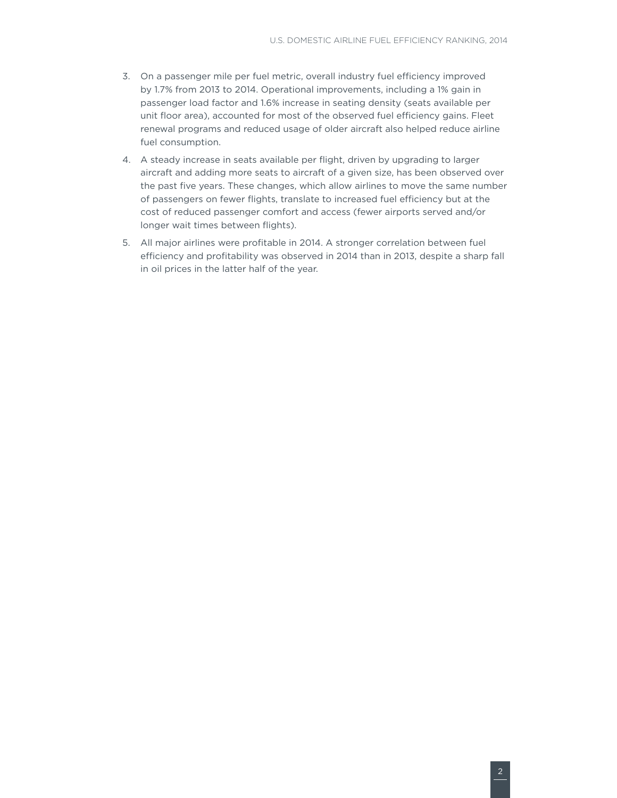- 3. On a passenger mile per fuel metric, overall industry fuel efficiency improved by 1.7% from 2013 to 2014. Operational improvements, including a 1% gain in passenger load factor and 1.6% increase in seating density (seats available per unit floor area), accounted for most of the observed fuel efficiency gains. Fleet renewal programs and reduced usage of older aircraft also helped reduce airline fuel consumption.
- 4. A steady increase in seats available per flight, driven by upgrading to larger aircraft and adding more seats to aircraft of a given size, has been observed over the past five years. These changes, which allow airlines to move the same number of passengers on fewer flights, translate to increased fuel efficiency but at the cost of reduced passenger comfort and access (fewer airports served and/or longer wait times between flights).
- 5. All major airlines were profitable in 2014. A stronger correlation between fuel efficiency and profitability was observed in 2014 than in 2013, despite a sharp fall in oil prices in the latter half of the year.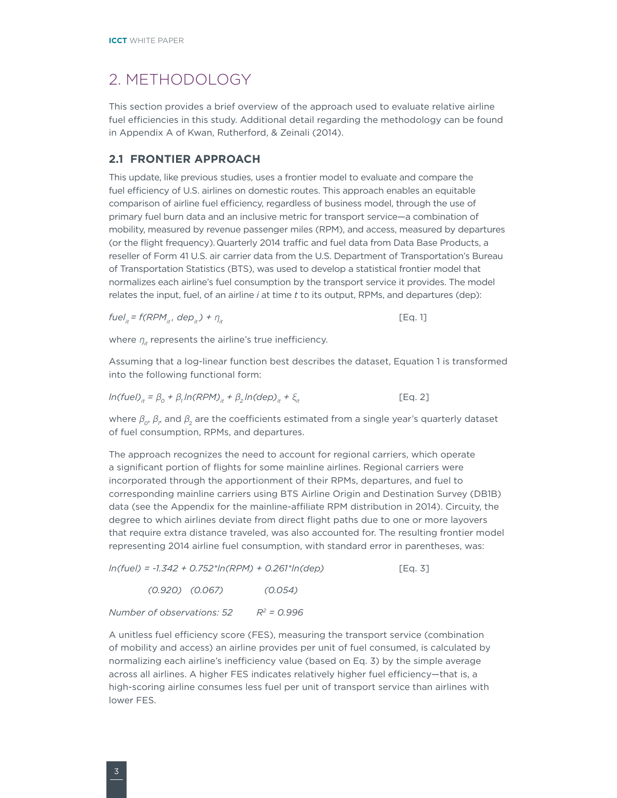### <span id="page-5-0"></span>2. METHODOLOGY

This section provides a brief overview of the approach used to evaluate relative airline fuel efficiencies in this study. Additional detail regarding the methodology can be found in Appendix A of Kwan, Rutherford, & Zeinali (2014).

#### **2.1 FRONTIER APPROACH**

This update, like previous studies, uses a frontier model to evaluate and compare the fuel efficiency of U.S. airlines on domestic routes. This approach enables an equitable comparison of airline fuel efficiency, regardless of business model, through the use of primary fuel burn data and an inclusive metric for transport service—a combination of mobility, measured by revenue passenger miles (RPM), and access, measured by departures (or the flight frequency). Quarterly 2014 traffic and fuel data from Data Base Products, a reseller of Form 41 U.S. air carrier data from the U.S. Department of Transportation's Bureau of Transportation Statistics (BTS), was used to develop a statistical frontier model that normalizes each airline's fuel consumption by the transport service it provides. The model relates the input, fuel, of an airline *i* at time *t* to its output, RPMs, and departures (dep):

$$
fuelit = f(RPMit, depit) + \etait
$$
 [Eq. 1]

where  $\eta_{it}$  represents the airline's true inefficiency.

Assuming that a log-linear function best describes the dataset, Equation 1 is transformed into the following functional form:

$$
ln(fuel)_{it} = \beta_0 + \beta_1 ln(RPM)_{it} + \beta_2 ln(deD)_{it} + \xi_{it}
$$
 [Eq. 2]

where  $\beta_o$ ,  $\beta_p$  and  $\beta_2$  are the coefficients estimated from a single year's quarterly dataset of fuel consumption, RPMs, and departures.

The approach recognizes the need to account for regional carriers, which operate a significant portion of flights for some mainline airlines. Regional carriers were incorporated through the apportionment of their RPMs, departures, and fuel to corresponding mainline carriers using BTS Airline Origin and Destination Survey (DB1B) data (see the Appendix for the mainline-affiliate RPM distribution in 2014). Circuity, the degree to which airlines deviate from direct flight paths due to one or more layovers that require extra distance traveled, was also accounted for. The resulting frontier model representing 2014 airline fuel consumption, with standard error in parentheses, was:

*ln(fuel) = -1.342 + 0.752\*ln(RPM) + 0.261\*ln(dep)* [Eq. 3]

 *(0.920) (0.067) (0.054)*

*Number of observations: 52 R2 = 0.996*

A unitless fuel efficiency score (FES), measuring the transport service (combination of mobility and access) an airline provides per unit of fuel consumed, is calculated by normalizing each airline's inefficiency value (based on Eq. 3) by the simple average across all airlines. A higher FES indicates relatively higher fuel efficiency—that is, a high-scoring airline consumes less fuel per unit of transport service than airlines with lower FES.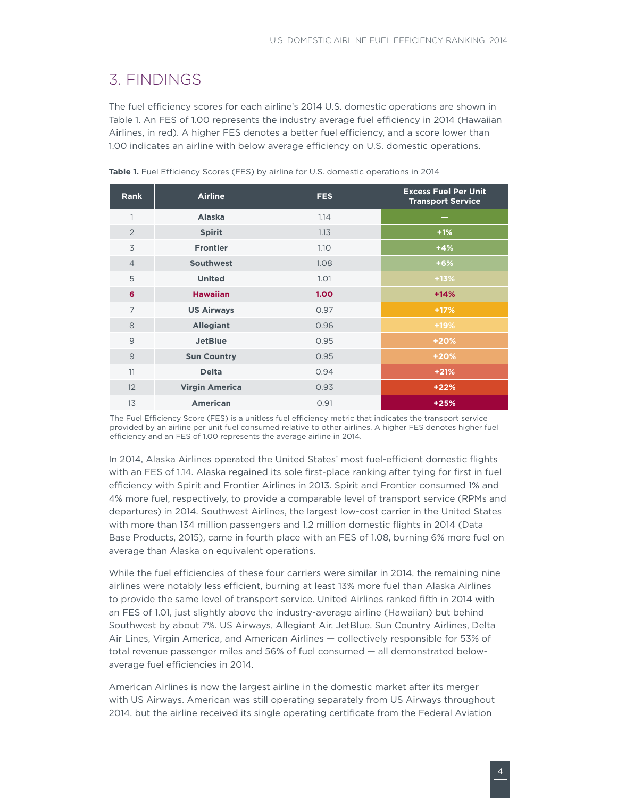### <span id="page-6-0"></span>3. FINDINGS

The fuel efficiency scores for each airline's 2014 U.S. domestic operations are shown in [Table](#page-6-1) 1. An FES of 1.00 represents the industry average fuel efficiency in 2014 (Hawaiian Airlines, in red). A higher FES denotes a better fuel efficiency, and a score lower than 1.00 indicates an airline with below average efficiency on U.S. domestic operations.

| <b>Rank</b>    | <b>Airline</b>        | <b>FES</b>        | <b>Excess Fuel Per Unit</b><br><b>Transport Service</b> |
|----------------|-----------------------|-------------------|---------------------------------------------------------|
| 1              | <b>Alaska</b>         | 1.14              | $\overline{\phantom{a}}$                                |
| $\overline{2}$ | <b>Spirit</b>         | 1.13              | $+1%$                                                   |
| 3              | <b>Frontier</b>       | 1.10              | $+4%$                                                   |
| $\overline{4}$ | <b>Southwest</b>      | 1.08              | $+6%$                                                   |
| 5              | <b>United</b>         | 1.01              | $+13%$                                                  |
| 6              | <b>Hawaiian</b>       | 1.00 <sub>1</sub> | $+14%$                                                  |
| $\overline{7}$ | <b>US Airways</b>     | 0.97              | $+17%$                                                  |
| 8              | <b>Allegiant</b>      | 0.96              | $+19%$                                                  |
| 9              | <b>JetBlue</b>        | 0.95              | $+20%$                                                  |
| $\overline{9}$ | <b>Sun Country</b>    | 0.95              | $+20%$                                                  |
| 11             | <b>Delta</b>          | 0.94              | $+21%$                                                  |
| 12             | <b>Virgin America</b> | 0.93              | $+22%$                                                  |
| 13             | <b>American</b>       | 0.91              | $+25%$                                                  |

<span id="page-6-1"></span>**Table 1.** Fuel Efficiency Scores (FES) by airline for U.S. domestic operations in 2014

The Fuel Efficiency Score (FES) is a unitless fuel efficiency metric that indicates the transport service provided by an airline per unit fuel consumed relative to other airlines. A higher FES denotes higher fuel efficiency and an FES of 1.00 represents the average airline in 2014.

In 2014, Alaska Airlines operated the United States' most fuel-efficient domestic flights with an FES of 1.14. Alaska regained its sole first-place ranking after tying for first in fuel efficiency with Spirit and Frontier Airlines in 2013. Spirit and Frontier consumed 1% and 4% more fuel, respectively, to provide a comparable level of transport service (RPMs and departures) in 2014. Southwest Airlines, the largest low-cost carrier in the United States with more than 134 million passengers and 1.2 million domestic flights in 2014 (Data Base Products, 2015), came in fourth place with an FES of 1.08, burning 6% more fuel on average than Alaska on equivalent operations.

While the fuel efficiencies of these four carriers were similar in 2014, the remaining nine airlines were notably less efficient, burning at least 13% more fuel than Alaska Airlines to provide the same level of transport service. United Airlines ranked fifth in 2014 with an FES of 1.01, just slightly above the industry-average airline (Hawaiian) but behind Southwest by about 7%. US Airways, Allegiant Air, JetBlue, Sun Country Airlines, Delta Air Lines, Virgin America, and American Airlines — collectively responsible for 53% of total revenue passenger miles and 56% of fuel consumed — all demonstrated belowaverage fuel efficiencies in 2014.

American Airlines is now the largest airline in the domestic market after its merger with US Airways. American was still operating separately from US Airways throughout 2014, but the airline received its single operating certificate from the Federal Aviation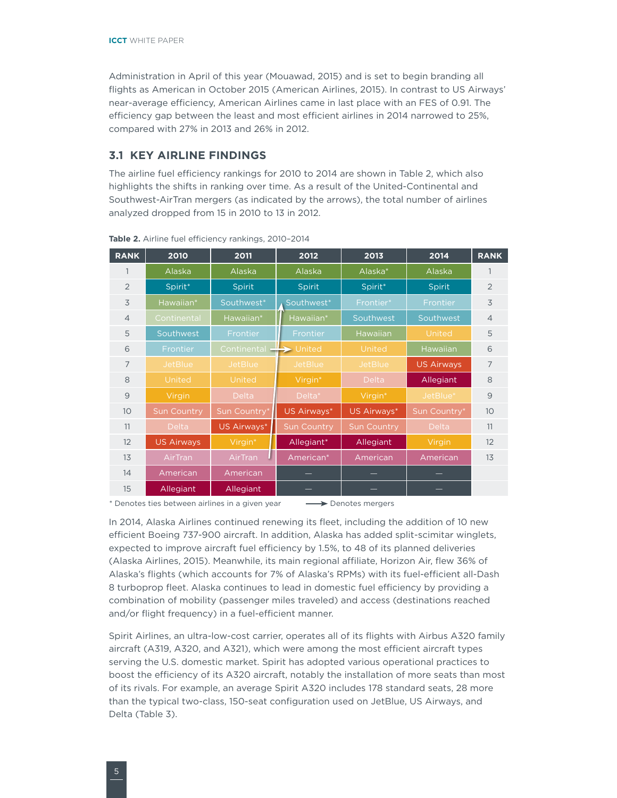<span id="page-7-0"></span>Administration in April of this year (Mouawad, 2015) and is set to begin branding all flights as American in October 2015 (American Airlines, 2015). In contrast to US Airways' near-average efficiency, American Airlines came in last place with an FES of 0.91. The efficiency gap between the least and most efficient airlines in 2014 narrowed to 25%, compared with 27% in 2013 and 26% in 2012.

#### **3.1 KEY AIRLINE FINDINGS**

The airline fuel efficiency rankings for 2010 to 2014 are shown in [Table 2](#page-7-1), which also highlights the shifts in ranking over time. As a result of the United-Continental and Southwest-AirTran mergers (as indicated by the arrows), the total number of airlines analyzed dropped from 15 in 2010 to 13 in 2012.

| <b>RANK</b>    | 2010               | 2011                     | 2012               | 2013               | 2014              | <b>RANK</b>    |
|----------------|--------------------|--------------------------|--------------------|--------------------|-------------------|----------------|
|                | Alaska             | Alaska                   | Alaska             | Alaska*            | Alaska            | 1              |
| $\overline{2}$ | Spirit*            | <b>Spirit</b>            | Spirit             | Spirit*            | <b>Spirit</b>     | $\overline{2}$ |
| 3              | Hawaiian*          | Southwest*               | Southwest*         | Frontier*          | Frontier          | 3              |
| $\overline{4}$ | Continental        | Hawaiian*                | Hawaiian*          | Southwest          | Southwest         | $\overline{4}$ |
| 5              | Southwest          | Frontier                 | Frontier           | Hawaiian           | United            | 5              |
| 6              | Frontier           | Continental $+$          | United             | United             | Hawaiian          | 6              |
| $\overline{7}$ | <b>JetBlue</b>     | <b>JetBlue</b>           | <b>JetBlue</b>     | <b>JetBlue</b>     | <b>US Airways</b> | $\overline{7}$ |
| 8              | United             | United                   | Virgin*            | <b>Delta</b>       | Allegiant         | 8              |
| $\overline{9}$ | Virgin             | <b>Delta</b>             | Delta*             | Virgin*            | JetBlue*          | $\overline{9}$ |
| 10             | <b>Sun Country</b> | Sun Country <sup>*</sup> | US Airways*        | US Airways*        | Sun Country*      | 10             |
| 11             | <b>Delta</b>       | US Airways*              | <b>Sun Country</b> | <b>Sun Country</b> | Delta             | 11             |
| 12             | <b>US Airways</b>  | Virgin*                  | Allegiant*         | Allegiant          | Virgin            | 12             |
| 13             | AirTran            | AirTran                  | American*          | American           | American          | 13             |
| 14             | American           | American                 |                    |                    |                   |                |
| 15             | Allegiant          | Allegiant                |                    |                    |                   |                |

<span id="page-7-1"></span>**Table 2.** Airline fuel efficiency rankings, 2010–2014

\* Denotes ties between airlines in a given year  $\longrightarrow$  Denotes mergers

In 2014, Alaska Airlines continued renewing its fleet, including the addition of 10 new efficient Boeing 737-900 aircraft. In addition, Alaska has added split-scimitar winglets, expected to improve aircraft fuel efficiency by 1.5%, to 48 of its planned deliveries (Alaska Airlines, 2015). Meanwhile, its main regional affiliate, Horizon Air, flew 36% of Alaska's flights (which accounts for 7% of Alaska's RPMs) with its fuel-efficient all-Dash 8 turboprop fleet. Alaska continues to lead in domestic fuel efficiency by providing a combination of mobility (passenger miles traveled) and access (destinations reached and/or flight frequency) in a fuel-efficient manner.

Spirit Airlines, an ultra-low-cost carrier, operates all of its flights with Airbus A320 family aircraft (A319, A320, and A321), which were among the most efficient aircraft types serving the U.S. domestic market. Spirit has adopted various operational practices to boost the efficiency of its A320 aircraft, notably the installation of more seats than most of its rivals. For example, an average Spirit A320 includes 178 standard seats, 28 more than the typical two-class, 150-seat configuration used on JetBlue, US Airways, and Delta [\(Table](#page-8-0) 3).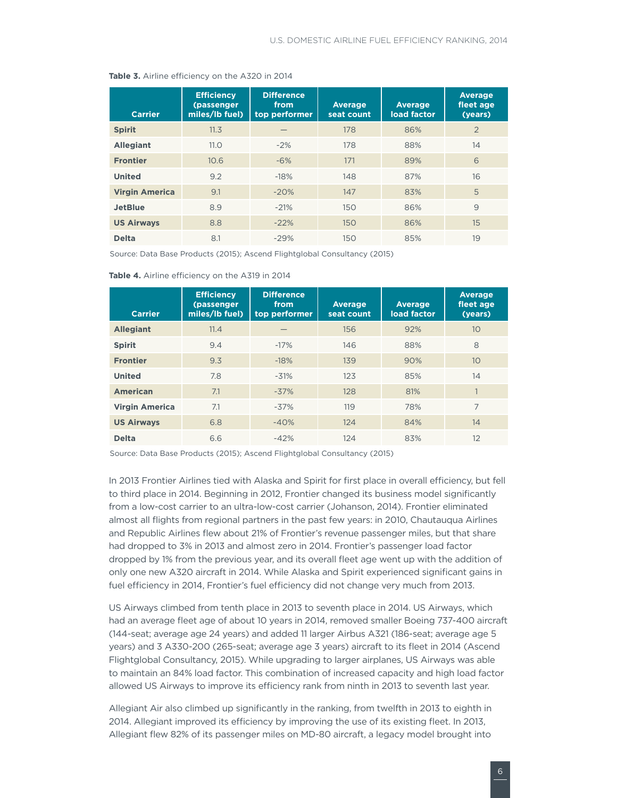#### <span id="page-8-0"></span>**Table 3.** Airline efficiency on the A320 in 2014

| <b>Carrier</b>        | <b>Efficiency</b><br>(passenger<br>miles/lb fuel) | <b>Difference</b><br>from<br>top performer | <b>Average</b><br>seat count | <b>Average</b><br>load factor | <b>Average</b><br>fleet age<br>(years) |
|-----------------------|---------------------------------------------------|--------------------------------------------|------------------------------|-------------------------------|----------------------------------------|
| <b>Spirit</b>         | 11.3                                              |                                            | 178                          | 86%                           | $\overline{2}$                         |
| <b>Allegiant</b>      | 11.0                                              | $-2%$                                      | 178                          | 88%                           | 14                                     |
| <b>Frontier</b>       | 10.6                                              | $-6\%$                                     | 171                          | 89%                           | 6                                      |
| <b>United</b>         | 9.2                                               | $-18%$                                     | 148                          | 87%                           | 16                                     |
| <b>Virgin America</b> | 9.1                                               | $-20%$                                     | 147                          | 83%                           | 5                                      |
| <b>JetBlue</b>        | 8.9                                               | $-21%$                                     | 150                          | 86%                           | 9                                      |
| <b>US Airways</b>     | 8.8                                               | $-22%$                                     | 150                          | 86%                           | 15                                     |
| <b>Delta</b>          | 8.1                                               | $-29%$                                     | 150                          | 85%                           | 19                                     |

Source: Data Base Products (2015); Ascend Flightglobal Consultancy (2015)

| <b>Carrier</b>        | <b>Efficiency</b><br>(passenger<br>miles/lb fuel) | <b>Difference</b><br>from<br>top performer | <b>Average</b><br>seat count | <b>Average</b><br>load factor | <b>Average</b><br>fleet age<br>(years) |
|-----------------------|---------------------------------------------------|--------------------------------------------|------------------------------|-------------------------------|----------------------------------------|
| <b>Allegiant</b>      | 11.4                                              |                                            | 156                          | 92%                           | 10                                     |
| <b>Spirit</b>         | 9.4                                               | $-17%$                                     | 146                          | 88%                           | 8                                      |
| <b>Frontier</b>       | 9.3                                               | $-18%$                                     | 139                          | 90%                           | 10                                     |
| <b>United</b>         | 7.8                                               | $-31%$                                     | 123                          | 85%                           | 14                                     |
| <b>American</b>       | 7.1                                               | $-37%$                                     | 128                          | 81%                           |                                        |
| <b>Virgin America</b> | 7.1                                               | $-37%$                                     | 119                          | 78%                           | $\overline{7}$                         |
| <b>US Airways</b>     | 6.8                                               | $-40%$                                     | 124                          | 84%                           | 14                                     |
| <b>Delta</b>          | 6.6                                               | $-42%$                                     | 124                          | 83%                           | 12                                     |

<span id="page-8-1"></span>**Table 4.** Airline efficiency on the A319 in 2014

Source: Data Base Products (2015); Ascend Flightglobal Consultancy (2015)

In 2013 Frontier Airlines tied with Alaska and Spirit for first place in overall efficiency, but fell to third place in 2014. Beginning in 2012, Frontier changed its business model significantly from a low-cost carrier to an ultra-low-cost carrier (Johanson, 2014). Frontier eliminated almost all flights from regional partners in the past few years: in 2010, Chautauqua Airlines and Republic Airlines flew about 21% of Frontier's revenue passenger miles, but that share had dropped to 3% in 2013 and almost zero in 2014. Frontier's passenger load factor dropped by 1% from the previous year, and its overall fleet age went up with the addition of only one new A320 aircraft in 2014. While Alaska and Spirit experienced significant gains in fuel efficiency in 2014, Frontier's fuel efficiency did not change very much from 2013.

US Airways climbed from tenth place in 2013 to seventh place in 2014. US Airways, which had an average fleet age of about 10 years in 2014, removed smaller Boeing 737-400 aircraft (144-seat; average age 24 years) and added 11 larger Airbus A321 (186-seat; average age 5 years) and 3 A330-200 (265-seat; average age 3 years) aircraft to its fleet in 2014 (Ascend Flightglobal Consultancy, 2015). While upgrading to larger airplanes, US Airways was able to maintain an 84% load factor. This combination of increased capacity and high load factor allowed US Airways to improve its efficiency rank from ninth in 2013 to seventh last year.

Allegiant Air also climbed up significantly in the ranking, from twelfth in 2013 to eighth in 2014. Allegiant improved its efficiency by improving the use of its existing fleet. In 2013, Allegiant flew 82% of its passenger miles on MD-80 aircraft, a legacy model brought into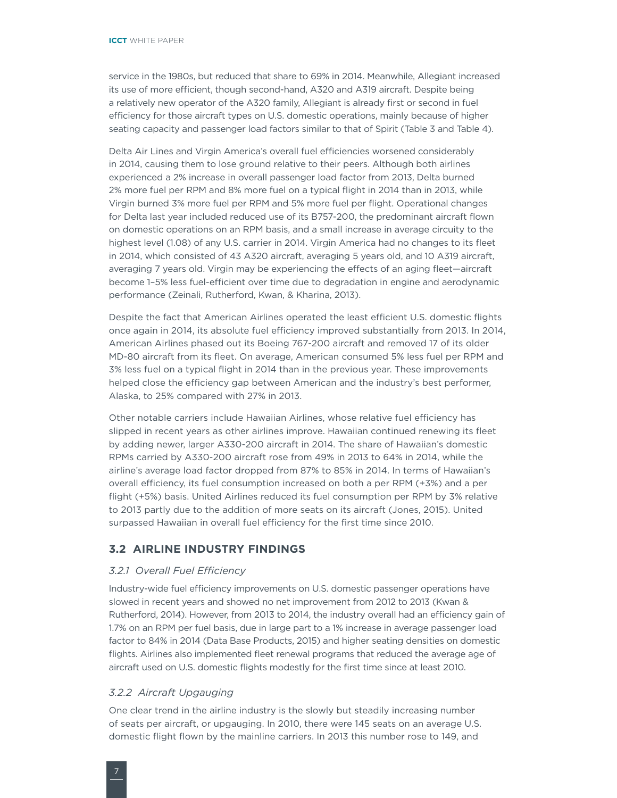<span id="page-9-0"></span>service in the 1980s, but reduced that share to 69% in 2014. Meanwhile, Allegiant increased its use of more efficient, though second-hand, A320 and A319 aircraft. Despite being a relatively new operator of the A320 family, Allegiant is already first or second in fuel efficiency for those aircraft types on U.S. domestic operations, mainly because of higher seating capacity and passenger load factors similar to that of Spirit [\(Table 3](#page-8-0) and [Table](#page-8-1) 4).

Delta Air Lines and Virgin America's overall fuel efficiencies worsened considerably in 2014, causing them to lose ground relative to their peers. Although both airlines experienced a 2% increase in overall passenger load factor from 2013, Delta burned 2% more fuel per RPM and 8% more fuel on a typical flight in 2014 than in 2013, while Virgin burned 3% more fuel per RPM and 5% more fuel per flight. Operational changes for Delta last year included reduced use of its B757-200, the predominant aircraft flown on domestic operations on an RPM basis, and a small increase in average circuity to the highest level (1.08) of any U.S. carrier in 2014. Virgin America had no changes to its fleet in 2014, which consisted of 43 A320 aircraft, averaging 5 years old, and 10 A319 aircraft, averaging 7 years old. Virgin may be experiencing the effects of an aging fleet—aircraft become 1–5% less fuel-efficient over time due to degradation in engine and aerodynamic performance (Zeinali, Rutherford, Kwan, & Kharina, 2013).

Despite the fact that American Airlines operated the least efficient U.S. domestic flights once again in 2014, its absolute fuel efficiency improved substantially from 2013. In 2014, American Airlines phased out its Boeing 767-200 aircraft and removed 17 of its older MD-80 aircraft from its fleet. On average, American consumed 5% less fuel per RPM and 3% less fuel on a typical flight in 2014 than in the previous year. These improvements helped close the efficiency gap between American and the industry's best performer, Alaska, to 25% compared with 27% in 2013.

Other notable carriers include Hawaiian Airlines, whose relative fuel efficiency has slipped in recent years as other airlines improve. Hawaiian continued renewing its fleet by adding newer, larger A330-200 aircraft in 2014. The share of Hawaiian's domestic RPMs carried by A330-200 aircraft rose from 49% in 2013 to 64% in 2014, while the airline's average load factor dropped from 87% to 85% in 2014. In terms of Hawaiian's overall efficiency, its fuel consumption increased on both a per RPM (+3%) and a per flight (+5%) basis. United Airlines reduced its fuel consumption per RPM by 3% relative to 2013 partly due to the addition of more seats on its aircraft (Jones, 2015). United surpassed Hawaiian in overall fuel efficiency for the first time since 2010.

#### **3.2 AIRLINE INDUSTRY FINDINGS**

#### *3.2.1 Overall Fuel Efficiency*

Industry-wide fuel efficiency improvements on U.S. domestic passenger operations have slowed in recent years and showed no net improvement from 2012 to 2013 (Kwan & Rutherford, 2014). However, from 2013 to 2014, the industry overall had an efficiency gain of 1.7% on an RPM per fuel basis, due in large part to a 1% increase in average passenger load factor to 84% in 2014 (Data Base Products, 2015) and higher seating densities on domestic flights. Airlines also implemented fleet renewal programs that reduced the average age of aircraft used on U.S. domestic flights modestly for the first time since at least 2010.

#### *3.2.2 Aircraft Upgauging*

One clear trend in the airline industry is the slowly but steadily increasing number of seats per aircraft, or upgauging. In 2010, there were 145 seats on an average U.S. domestic flight flown by the mainline carriers. In 2013 this number rose to 149, and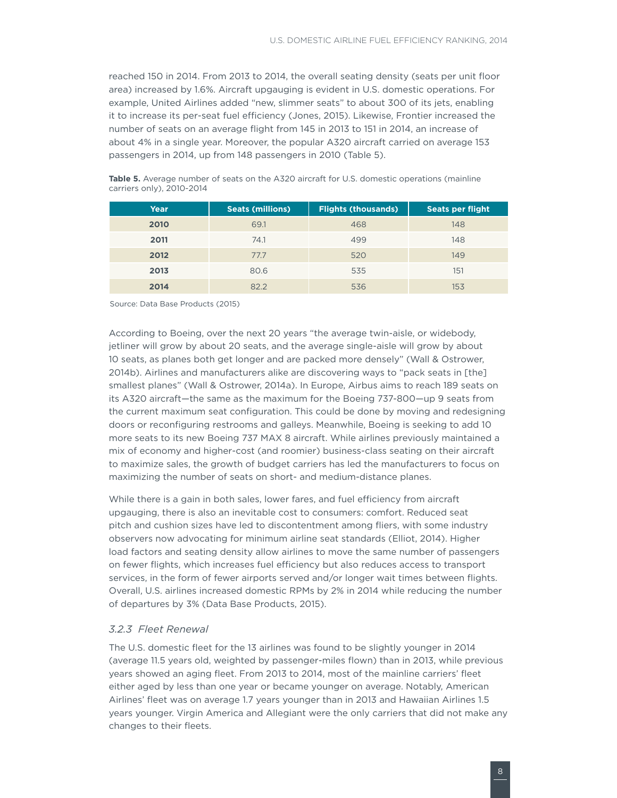<span id="page-10-0"></span>reached 150 in 2014. From 2013 to 2014, the overall seating density (seats per unit floor area) increased by 1.6%. Aircraft upgauging is evident in U.S. domestic operations. For example, United Airlines added "new, slimmer seats" to about 300 of its jets, enabling it to increase its per-seat fuel efficiency (Jones, 2015). Likewise, Frontier increased the number of seats on an average flight from 145 in 2013 to 151 in 2014, an increase of about 4% in a single year. Moreover, the popular A320 aircraft carried on average 153 passengers in 2014, up from 148 passengers in 2010 [\(Table](#page-10-1) 5).

| Year | <b>Seats (millions)</b> | <b>Flights (thousands)</b> | <b>Seats per flight</b> |
|------|-------------------------|----------------------------|-------------------------|
| 2010 | 69.1                    | 468                        | 148                     |
| 2011 | 74.1                    | 499                        | 148                     |
| 2012 | 77.7                    | 520                        | 149                     |
| 2013 | 80.6                    | 535                        | 151                     |
| 2014 | 82.2                    | 536                        | 153                     |

<span id="page-10-1"></span>Table 5. Average number of seats on the A320 aircraft for U.S. domestic operations (mainline carriers only), 2010-2014

Source: Data Base Products (2015)

According to Boeing, over the next 20 years "the average twin-aisle, or widebody, jetliner will grow by about 20 seats, and the average single-aisle will grow by about 10 seats, as planes both get longer and are packed more densely" (Wall & Ostrower, 2014b). Airlines and manufacturers alike are discovering ways to "pack seats in [the] smallest planes" (Wall & Ostrower, 2014a). In Europe, Airbus aims to reach 189 seats on its A320 aircraft—the same as the maximum for the Boeing 737-800—up 9 seats from the current maximum seat configuration. This could be done by moving and redesigning doors or reconfiguring restrooms and galleys. Meanwhile, Boeing is seeking to add 10 more seats to its new Boeing 737 MAX 8 aircraft. While airlines previously maintained a mix of economy and higher-cost (and roomier) business-class seating on their aircraft to maximize sales, the growth of budget carriers has led the manufacturers to focus on maximizing the number of seats on short- and medium-distance planes.

While there is a gain in both sales, lower fares, and fuel efficiency from aircraft upgauging, there is also an inevitable cost to consumers: comfort. Reduced seat pitch and cushion sizes have led to discontentment among fliers, with some industry observers now advocating for minimum airline seat standards (Elliot, 2014). Higher load factors and seating density allow airlines to move the same number of passengers on fewer flights, which increases fuel efficiency but also reduces access to transport services, in the form of fewer airports served and/or longer wait times between flights. Overall, U.S. airlines increased domestic RPMs by 2% in 2014 while reducing the number of departures by 3% (Data Base Products, 2015).

#### *3.2.3 Fleet Renewal*

The U.S. domestic fleet for the 13 airlines was found to be slightly younger in 2014 (average 11.5 years old, weighted by passenger-miles flown) than in 2013, while previous years showed an aging fleet. From 2013 to 2014, most of the mainline carriers' fleet either aged by less than one year or became younger on average. Notably, American Airlines' fleet was on average 1.7 years younger than in 2013 and Hawaiian Airlines 1.5 years younger. Virgin America and Allegiant were the only carriers that did not make any changes to their fleets.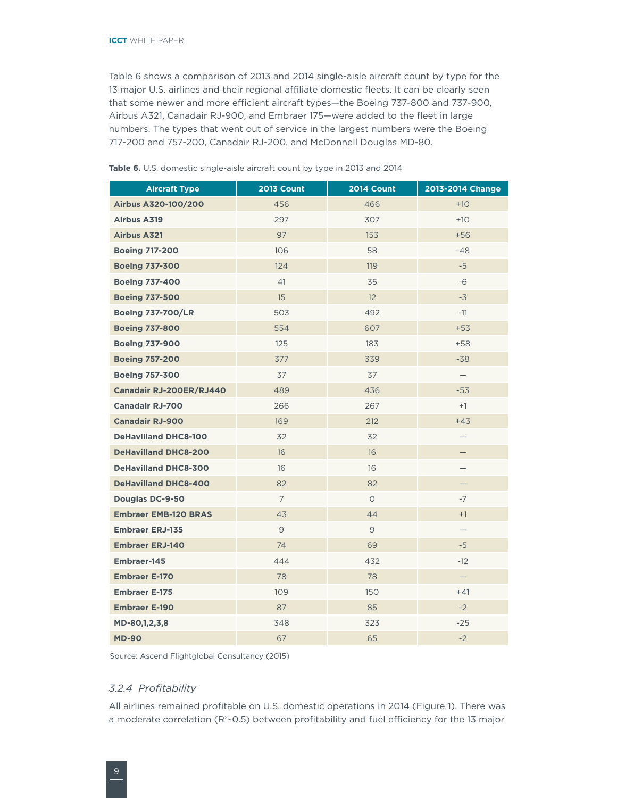<span id="page-11-0"></span>[Table](#page-11-1) 6 shows a comparison of 2013 and 2014 single-aisle aircraft count by type for the 13 major U.S. airlines and their regional affiliate domestic fleets. It can be clearly seen that some newer and more efficient aircraft types—the Boeing 737-800 and 737-900, Airbus A321, Canadair RJ-900, and Embraer 175—were added to the fleet in large numbers. The types that went out of service in the largest numbers were the Boeing 717-200 and 757-200, Canadair RJ-200, and McDonnell Douglas MD-80.

| <b>Aircraft Type</b>        | <b>2013 Count</b> | <b>2014 Count</b> | 2013-2014 Change         |
|-----------------------------|-------------------|-------------------|--------------------------|
| Airbus A320-100/200         | 456               | 466               | $+10$                    |
| <b>Airbus A319</b>          | 297               | 307               | $+10$                    |
| <b>Airbus A321</b>          | 97                | 153               | $+56$                    |
| <b>Boeing 717-200</b>       | 106               | 58                | $-48$                    |
| <b>Boeing 737-300</b>       | 124               | 119               | $-5$                     |
| <b>Boeing 737-400</b>       | 41                | 35                | $-6$                     |
| <b>Boeing 737-500</b>       | 15                | 12                | $-3$                     |
| <b>Boeing 737-700/LR</b>    | 503               | 492               | $-11$                    |
| <b>Boeing 737-800</b>       | 554               | 607               | $+53$                    |
| <b>Boeing 737-900</b>       | 125               | 183               | $+58$                    |
| <b>Boeing 757-200</b>       | 377               | 339               | $-38$                    |
| <b>Boeing 757-300</b>       | 37                | 37                | $\overline{\phantom{0}}$ |
| Canadair RJ-200ER/RJ440     | 489               | 436               | $-53$                    |
| <b>Canadair RJ-700</b>      | 266               | 267               | $+1$                     |
| <b>Canadair RJ-900</b>      | 169               | 212               | $+43$                    |
| <b>DeHavilland DHC8-100</b> | 32                | 32                |                          |
| <b>DeHavilland DHC8-200</b> | 16                | 16                | —                        |
| <b>DeHavilland DHC8-300</b> | 16                | 16                |                          |
| <b>DeHavilland DHC8-400</b> | 82                | 82                |                          |
| Douglas DC-9-50             | $\overline{7}$    | $\circ$           | $-7$                     |
| <b>Embraer EMB-120 BRAS</b> | 43                | 44                | $+1$                     |
| <b>Embraer ERJ-135</b>      | 9                 | $\overline{9}$    | $\qquad \qquad -$        |
| <b>Embraer ERJ-140</b>      | 74                | 69                | $-5$                     |
| Embraer-145                 | 444               | 432               | $-12$                    |
| <b>Embraer E-170</b>        | 78                | 78                | $\overline{\phantom{0}}$ |
| <b>Embraer E-175</b>        | 109               | 150               | $+41$                    |
| <b>Embraer E-190</b>        | 87                | 85                | $-2$                     |
| MD-80,1,2,3,8               | 348               | 323               | $-25$                    |
| <b>MD-90</b>                | 67                | 65                | $-2$                     |

<span id="page-11-1"></span>**Table 6.** U.S. domestic single-aisle aircraft count by type in 2013 and 2014

Source: Ascend Flightglobal Consultancy (2015)

#### *3.2.4 Profitability*

All airlines remained profitable on U.S. domestic operations in 2014 [\(Figure](#page-12-0) 1). There was a moderate correlation (R<sup>2</sup>~0.5) between profitability and fuel efficiency for the 13 major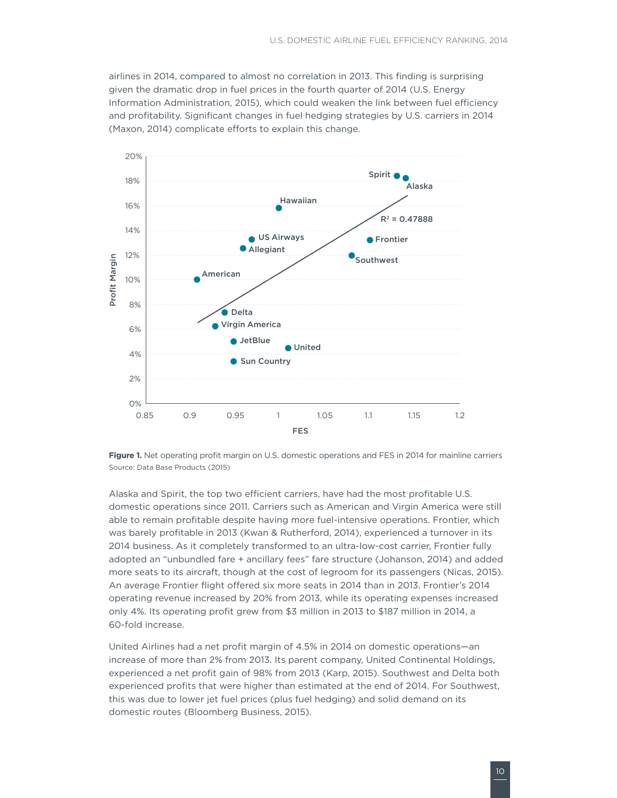airlines in 2014, compared to almost no correlation in 2013. This finding is surprising given the dramatic drop in fuel prices in the fourth quarter of 2014 (U.S. Energy Information Administration, 2015), which could weaken the link between fuel efficiency and profitability. Significant changes in fuel hedging strategies by U.S. carriers in 2014 (Maxon, 2014) complicate efforts to explain this change.



<span id="page-12-0"></span>**Figure 1.** Net operating profit margin on U.S. domestic operations and FES in 2014 for mainline carriers Source: Data Base Products (2015)

Alaska and Spirit, the top two efficient carriers, have had the most profitable U.S. domestic operations since 2011. Carriers such as American and Virgin America were still able to remain profitable despite having more fuel-intensive operations. Frontier, which was barely profitable in 2013 (Kwan & Rutherford, 2014), experienced a turnover in its 2014 business. As it completely transformed to an ultra-low-cost carrier, Frontier fully adopted an "unbundled fare + ancillary fees" fare structure (Johanson, 2014) and added more seats to its aircraft, though at the cost of legroom for its passengers (Nicas, 2015). An average Frontier flight offered six more seats in 2014 than in 2013. Frontier's 2014 operating revenue increased by 20% from 2013, while its operating expenses increased only 4%. Its operating profit grew from \$3 million in 2013 to \$187 million in 2014, a 60-fold increase.

United Airlines had a net profit margin of 4.5% in 2014 on domestic operations—an increase of more than 2% from 2013. Its parent company, United Continental Holdings, experienced a net profit gain of 98% from 2013 (Karp, 2015). Southwest and Delta both experienced profits that were higher than estimated at the end of 2014. For Southwest, this was due to lower jet fuel prices (plus fuel hedging) and solid demand on its domestic routes (Bloomberg Business, 2015).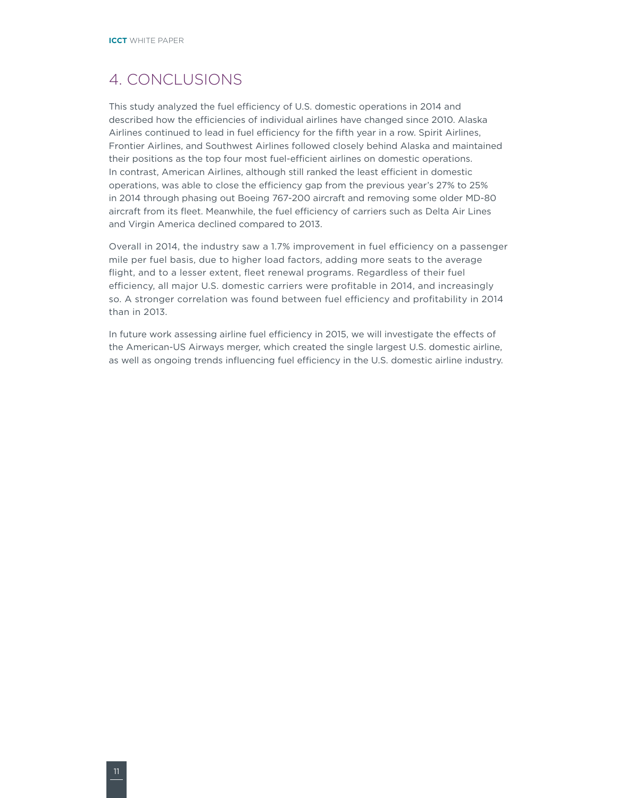### <span id="page-13-0"></span>4. CONCLUSIONS

This study analyzed the fuel efficiency of U.S. domestic operations in 2014 and described how the efficiencies of individual airlines have changed since 2010. Alaska Airlines continued to lead in fuel efficiency for the fifth year in a row. Spirit Airlines, Frontier Airlines, and Southwest Airlines followed closely behind Alaska and maintained their positions as the top four most fuel-efficient airlines on domestic operations. In contrast, American Airlines, although still ranked the least efficient in domestic operations, was able to close the efficiency gap from the previous year's 27% to 25% in 2014 through phasing out Boeing 767-200 aircraft and removing some older MD-80 aircraft from its fleet. Meanwhile, the fuel efficiency of carriers such as Delta Air Lines and Virgin America declined compared to 2013.

Overall in 2014, the industry saw a 1.7% improvement in fuel efficiency on a passenger mile per fuel basis, due to higher load factors, adding more seats to the average flight, and to a lesser extent, fleet renewal programs. Regardless of their fuel efficiency, all major U.S. domestic carriers were profitable in 2014, and increasingly so. A stronger correlation was found between fuel efficiency and profitability in 2014 than in 2013.

In future work assessing airline fuel efficiency in 2015, we will investigate the effects of the American-US Airways merger, which created the single largest U.S. domestic airline, as well as ongoing trends influencing fuel efficiency in the U.S. domestic airline industry.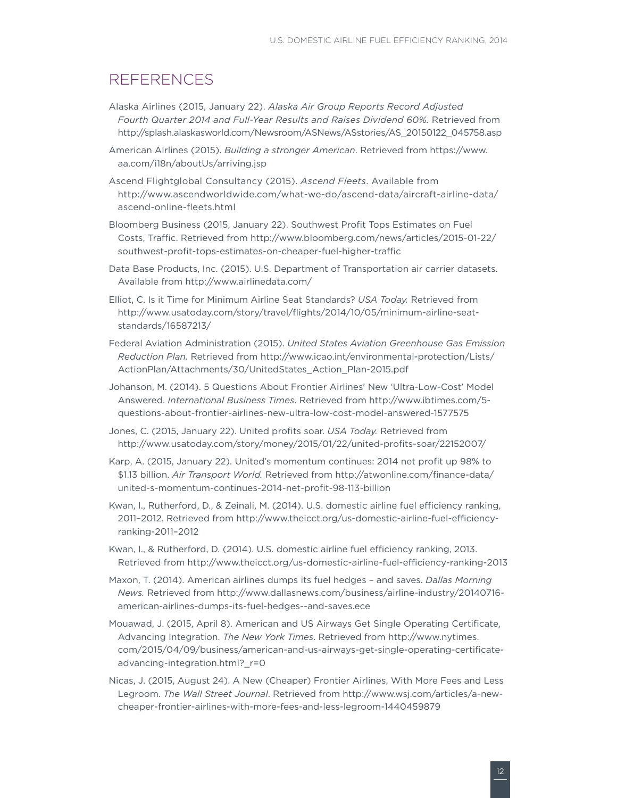### <span id="page-14-0"></span>REFERENCES

- Alaska Airlines (2015, January 22). *Alaska Air Group Reports Record Adjusted Fourth Quarter 2014 and Full-Year Results and Raises Dividend 60%.* Retrieved from [http://splash.alaskasworld.com/Newsroom/ASNews/ASstories/AS\\_20150122\\_045758.asp](http://splash.alaskasworld.com/Newsroom/ASNews/ASstories/AS_20150122_045758.asp)
- American Airlines (2015). *Building a stronger American*. Retrieved from [https://www.](https://www.aa.com/i18n/aboutUs/arriving.jsp) [aa.com/i18n/aboutUs/arriving.jsp](https://www.aa.com/i18n/aboutUs/arriving.jsp)
- Ascend Flightglobal Consultancy (2015). *Ascend Fleets*. Available from [http://www.ascendworldwide.com/what-we-do/ascend-data/aircraft-airline-data/](http://www.ascendworldwide.com/what-we-do/ascend-data/aircraft-airline-data/ascend-online-fleets.html) [ascend-online-fleets.html](http://www.ascendworldwide.com/what-we-do/ascend-data/aircraft-airline-data/ascend-online-fleets.html)
- Bloomberg Business (2015, January 22). Southwest Profit Tops Estimates on Fuel Costs, Traffic. Retrieved from [http://www.bloomberg.com/news/articles/2015-01-22/](http://www.bloomberg.com/news/articles/2015-01-22/southwest-profit-tops-estimates-on-cheaper-fuel-higher-traffic) [southwest-profit-tops-estimates-on-cheaper-fuel-higher-traffic](http://www.bloomberg.com/news/articles/2015-01-22/southwest-profit-tops-estimates-on-cheaper-fuel-higher-traffic)
- Data Base Products, Inc. (2015). U.S. Department of Transportation air carrier datasets. Available from <http://www.airlinedata.com/>
- Elliot, C. Is it Time for Minimum Airline Seat Standards? *USA Today.* Retrieved from [http://www.usatoday.com/story/travel/flights/2014/10/05/minimum-airline-seat](http://www.usatoday.com/story/travel/flights/2014/10/05/minimum-airline-seat-standards/16587213/)[standards/16587213/](http://www.usatoday.com/story/travel/flights/2014/10/05/minimum-airline-seat-standards/16587213/)
- Federal Aviation Administration (2015). *United States Aviation Greenhouse Gas Emission Reduction Plan.* Retrieved from [http://www.icao.int/environmental-protection/Lists/](http://www.icao.int/environmental-protection/Lists/ActionPlan/Attachments/30/UnitedStates_Action_Plan-2015.pdf) [ActionPlan/Attachments/30/UnitedStates\\_Action\\_Plan-2015.pdf](http://www.icao.int/environmental-protection/Lists/ActionPlan/Attachments/30/UnitedStates_Action_Plan-2015.pdf)
- Johanson, M. (2014). 5 Questions About Frontier Airlines' New 'Ultra-Low-Cost' Model Answered. *International Business Times*. Retrieved from [http://www.ibtimes.com/5](http://www.ibtimes.com/5-questions-about-frontier-airlines-new-ultra-low-cost-model-answered-1577575) [questions-about-frontier-airlines-new-ultra-low-cost-model-answered-1577575](http://www.ibtimes.com/5-questions-about-frontier-airlines-new-ultra-low-cost-model-answered-1577575)
- Jones, C. (2015, January 22). United profits soar. *USA Today.* Retrieved from <http://www.usatoday.com/story/money/2015/01/22/united-profits-soar/22152007/>
- Karp, A. (2015, January 22). United's momentum continues: 2014 net profit up 98% to \$1.13 billion. *Air Transport World.* Retrieved from [http://atwonline.com/finance-data/](http://atwonline.com/finance-data/united-s-momentum-continues-2014-net-profit-98-113-billion) [united-s-momentum-continues-2014-net-profit-98-113-billion](http://atwonline.com/finance-data/united-s-momentum-continues-2014-net-profit-98-113-billion)
- Kwan, I., Rutherford, D., & Zeinali, M. (2014). U.S. domestic airline fuel efficiency ranking, 2011–2012. Retrieved from [http://www.theicct.org/us-domestic-airline-fuel-efficiency](http://www.theicct.org/us-domestic-airline-fuel-efficiency-ranking-2011-2012)[ranking-2011–2012](http://www.theicct.org/us-domestic-airline-fuel-efficiency-ranking-2011-2012)
- Kwan, I., & Rutherford, D. (2014). U.S. domestic airline fuel efficiency ranking, 2013. Retrieved from<http://www.theicct.org/us-domestic-airline-fuel-efficiency-ranking-2013>
- Maxon, T. (2014). American airlines dumps its fuel hedges and saves. *Dallas Morning News.* Retrieved from [http://www.dallasnews.com/business/airline-industry/20140716](http://www.dallasnews.com/business/airline-industry/20140716-american-airlines-dumps-its-fuel-hedges--and-saves.ece) [american-airlines-dumps-its-fuel-hedges--and-saves.ece](http://www.dallasnews.com/business/airline-industry/20140716-american-airlines-dumps-its-fuel-hedges--and-saves.ece)
- Mouawad, J. (2015, April 8). American and US Airways Get Single Operating Certificate, Advancing Integration. *The New York Times*. Retrieved from [http://www.nytimes.](http://www.nytimes.com/2015/04/09/business/american-and-us-airways-get-single-operating-certificate-advancing-integration.html?_r=0) [com/2015/04/09/business/american-and-us-airways-get-single-operating-certificate](http://www.nytimes.com/2015/04/09/business/american-and-us-airways-get-single-operating-certificate-advancing-integration.html?_r=0)[advancing-integration.html?\\_r=0](http://www.nytimes.com/2015/04/09/business/american-and-us-airways-get-single-operating-certificate-advancing-integration.html?_r=0)
- Nicas, J. (2015, August 24). A New (Cheaper) Frontier Airlines, With More Fees and Less Legroom. *The Wall Street Journal*. Retrieved from [http://www.wsj.com/articles/a-new](http://www.wsj.com/articles/a-new-cheaper-frontier-airlines-with-more-fees-and-less-legroom-1440459879)[cheaper-frontier-airlines-with-more-fees-and-less-legroom-1440459879](http://www.wsj.com/articles/a-new-cheaper-frontier-airlines-with-more-fees-and-less-legroom-1440459879)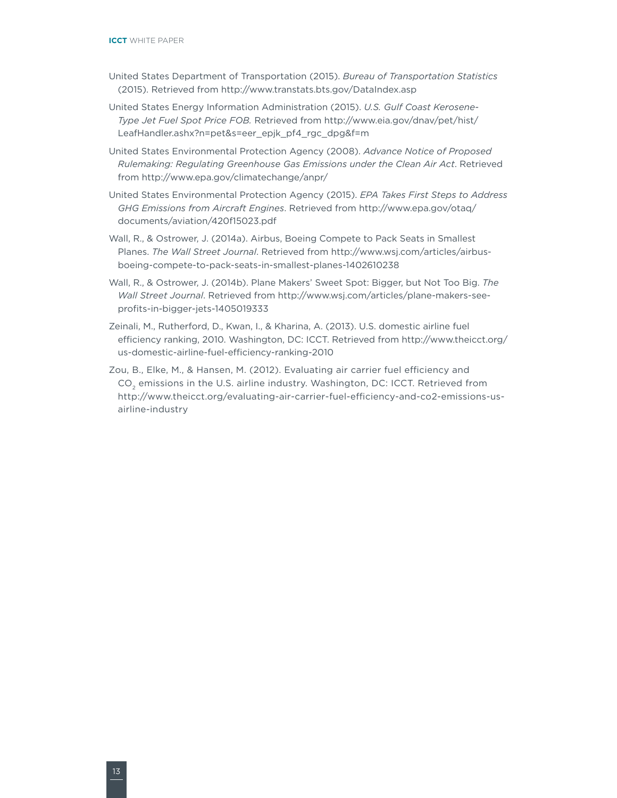- United States Department of Transportation (2015). *Bureau of Transportation Statistics* (2015). Retrieved from <http://www.transtats.bts.gov/DataIndex.asp>
- United States Energy Information Administration (2015). *U.S. Gulf Coast Kerosene-Type Jet Fuel Spot Price FOB.* Retrieved from [http://www.eia.gov/dnav/pet/hist/](http://www.eia.gov/dnav/pet/hist/LeafHandler.ashx?n=pet&s=eer_epjk_pf4_rgc_dpg&f=m) [LeafHandler.ashx?n=pet&s=eer\\_epjk\\_pf4\\_rgc\\_dpg&f=m](http://www.eia.gov/dnav/pet/hist/LeafHandler.ashx?n=pet&s=eer_epjk_pf4_rgc_dpg&f=m)
- United States Environmental Protection Agency (2008). *Advance Notice of Proposed Rulemaking: Regulating Greenhouse Gas Emissions under the Clean Air Act*. Retrieved from <http://www.epa.gov/climatechange/anpr/>
- United States Environmental Protection Agency (2015). *EPA Takes First Steps to Address GHG Emissions from Aircraft Engines*. Retrieved from [http://www.epa.gov/otaq/](http://www.epa.gov/otaq/documents/aviation/420f15023.pdf) [documents/aviation/420f15023.pdf](http://www.epa.gov/otaq/documents/aviation/420f15023.pdf)
- Wall, R., & Ostrower, J. (2014a). Airbus, Boeing Compete to Pack Seats in Smallest Planes. *The Wall Street Journal*. Retrieved from http://www.wsj.com/articles/airbusboeing-compete-to-pack-seats-in-smallest-planes-1402610238
- Wall, R., & Ostrower, J. (2014b). Plane Makers' Sweet Spot: Bigger, but Not Too Big. *The Wall Street Journal*. Retrieved from [http://www.wsj.com/articles/plane-makers-see](http://www.wsj.com/articles/plane-makers-see-profits-in-bigger-jets-1405019333)[profits-in-bigger-jets-1405019333](http://www.wsj.com/articles/plane-makers-see-profits-in-bigger-jets-1405019333)
- Zeinali, M., Rutherford, D., Kwan, I., & Kharina, A. (2013). U.S. domestic airline fuel efficiency ranking, 2010. Washington, DC: ICCT. Retrieved from [http://www.theicct.org/](http://www.theicct.org/us-domestic-airline-fuel-efficiency-ranking-2010) [us-domestic-airline-fuel-efficiency-ranking-2010](http://www.theicct.org/us-domestic-airline-fuel-efficiency-ranking-2010)
- Zou, B., Elke, M., & Hansen, M. (2012). Evaluating air carrier fuel efficiency and CO<sub>2</sub> emissions in the U.S. airline industry. Washington, DC: ICCT. Retrieved from [http://www.theicct.org/evaluating-air-carrier-fuel-efficiency-and-co2-emissions-us](http://www.theicct.org/evaluating-air-carrier-fuel-efficiency-and-co2-emissions-us-airline-industry)[airline-industry](http://www.theicct.org/evaluating-air-carrier-fuel-efficiency-and-co2-emissions-us-airline-industry)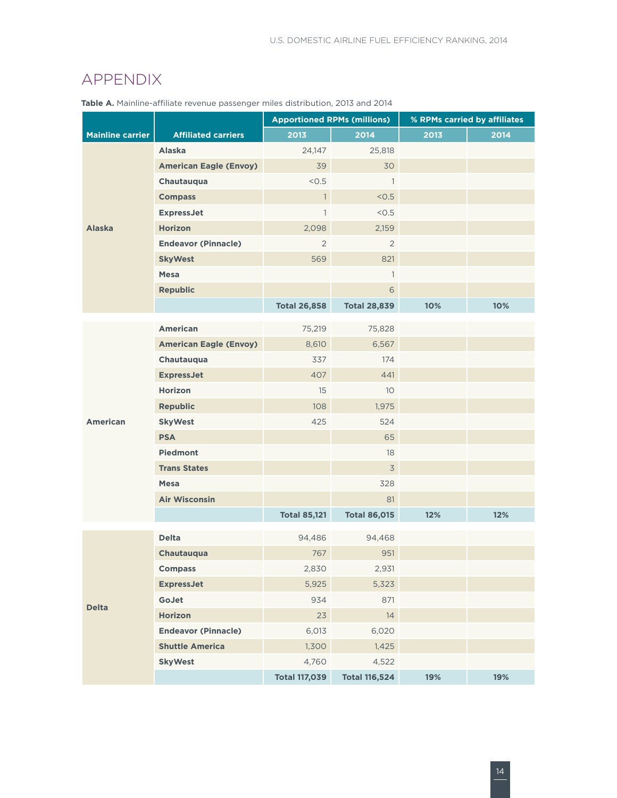### <span id="page-16-0"></span>APPENDIX

|                         |                               | <b>Apportioned RPMs (millions)</b> |                      | % RPMs carried by affiliates |      |  |
|-------------------------|-------------------------------|------------------------------------|----------------------|------------------------------|------|--|
| <b>Mainline carrier</b> | <b>Affiliated carriers</b>    | 2013                               | 2014                 | 2013                         | 2014 |  |
|                         | <b>Alaska</b>                 | 24,147                             | 25,818               |                              |      |  |
|                         | <b>American Eagle (Envoy)</b> | 39                                 | 30                   |                              |      |  |
|                         | Chautauqua                    | < 0.5                              | $\mathbf{1}$         |                              |      |  |
|                         | <b>Compass</b>                | $\mathbf{1}$                       | < 0.5                |                              |      |  |
|                         | <b>ExpressJet</b>             | $\mathbf{1}$                       | < 0.5                |                              |      |  |
| <b>Alaska</b>           | <b>Horizon</b>                | 2,098                              | 2,159                |                              |      |  |
|                         | <b>Endeavor (Pinnacle)</b>    | $\overline{2}$                     | $\overline{2}$       |                              |      |  |
|                         | <b>SkyWest</b>                | 569                                | 821                  |                              |      |  |
|                         | <b>Mesa</b>                   |                                    | $\mathbf{1}$         |                              |      |  |
|                         | <b>Republic</b>               |                                    | 6                    |                              |      |  |
|                         |                               | <b>Total 26,858</b>                | <b>Total 28,839</b>  | 10%                          | 10%  |  |
|                         | <b>American</b>               | 75,219                             | 75,828               |                              |      |  |
|                         | <b>American Eagle (Envoy)</b> | 8,610                              | 6,567                |                              |      |  |
|                         | Chautauqua                    | 337                                | 174                  |                              |      |  |
|                         | <b>ExpressJet</b>             | 407                                | 441                  |                              |      |  |
|                         | <b>Horizon</b>                | 15                                 | 10 <sup>°</sup>      |                              |      |  |
|                         | <b>Republic</b>               | 108                                | 1,975                |                              |      |  |
| <b>American</b>         | <b>SkyWest</b>                | 425                                | 524                  |                              |      |  |
|                         | <b>PSA</b>                    |                                    | 65                   |                              |      |  |
|                         | <b>Piedmont</b>               |                                    | 18                   |                              |      |  |
|                         | <b>Trans States</b>           |                                    | $\overline{3}$       |                              |      |  |
|                         | <b>Mesa</b>                   |                                    | 328                  |                              |      |  |
|                         | <b>Air Wisconsin</b>          |                                    | 81                   |                              |      |  |
|                         |                               | <b>Total 85,121</b>                | <b>Total 86,015</b>  | 12%                          | 12%  |  |
|                         |                               |                                    |                      |                              |      |  |
|                         | <b>Delta</b>                  | 94,486                             | 94,468               |                              |      |  |
|                         | Chautauqua                    | 767                                | 951                  |                              |      |  |
|                         | <b>Compass</b>                | 2,830                              | 2,931                |                              |      |  |
|                         | <b>ExpressJet</b>             | 5,925                              | 5,323                |                              |      |  |
| <b>Delta</b>            | GoJet                         | 934                                | 871                  |                              |      |  |
|                         | <b>Horizon</b>                | 23                                 | 14                   |                              |      |  |
|                         | <b>Endeavor (Pinnacle)</b>    | 6,013                              | 6,020                |                              |      |  |
|                         | <b>Shuttle America</b>        | 1,300                              | 1,425                |                              |      |  |
|                         | <b>SkyWest</b>                | 4,760                              | 4,522                |                              |      |  |
|                         |                               | <b>Total 117,039</b>               | <b>Total 116,524</b> | 19%                          | 19%  |  |

**Table A.** Mainline-affiliate revenue passenger miles distribution, 2013 and 2014